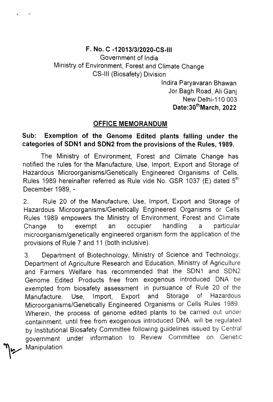## F. No. C 12013/3/2020-CS-IIl

Government of India Ministry of Environment, Forest and Climate Change CS-Il (Biosafety) Division

> Indira Paryavaran Bhawan Jor Bagh Road, Ali Ganj New Delhi-110 003 Date:30"March, 2022

## OFFICE MEMORANDUM

## Sub: Exemption of the Genome Edited plants falling under the categories of SDN1 and SDN2 from the provisions of the Rules, 1989.

The Ministry of Environment, Forest and Climate Change has notified the rules for the Manufacture, Use, Import, Export and Storage of Hazardous Microorganisms/Genetically Engineered Organisms of Cells Rules 1989 hereinafter referred as Rule vide No. GSR 1037 (E) dated 5<sup>th</sup> December 1989, -

2. Rule 20 of the Manufacture, Use, Import, Export and Storage of Hazardous Microorganisms/Genetically Engineered Organisms or Cells Rules 1989 empowers the Ministry of Environment, Forest and Climate Change microorganism/genetically engineered organism form the application of the provisions of Rule 7 and 11 (both inclusive) to exempt an occupier handling a particular

3. Department of Biotechnology, Ministry of Science and Technology; Department of Agriculture Research and Education, Ministry of Agriculture and Farmers Welfare has recommended that the SDN1 and SDN2 Genome Edited Products free from exogenous introduced DNA be exempted from biosafety assessment in pursuance of Rule 20 of the Manufacture, Use Import, Export and Storage of Hazardous Microorganisms/Genetically Engineered Organisms or Cells Rules 1989. Wherein, the process of genome edited plants to be carried out under containment, until free from exogenous introduced DNA, will be regulated by Institutional Biosafety Committee following guidelines issued by Central government under information to Review Committee on Genetic Manipulation.